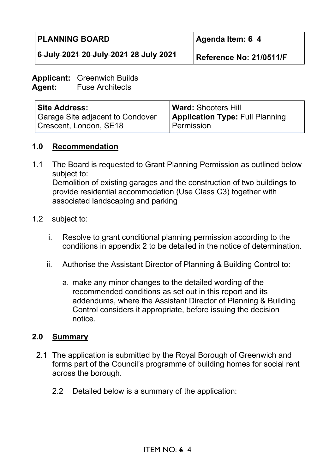**6 July 2021 20 July 2021 28 July 2021** 

**Agenda Item: 6 4** 

**Reference No: 21/0511/F**

#### **Applicant:** Greenwich Builds **Agent:** Fuse Architects

| <b>Site Address:</b>             | <b>Ward: Shooters Hill</b>             |
|----------------------------------|----------------------------------------|
| Garage Site adjacent to Condover | <b>Application Type: Full Planning</b> |
| Crescent, London, SE18           | Permission                             |

# **1.0 Recommendation**

- 1.1 The Board is requested to Grant Planning Permission as outlined below subject to: Demolition of existing garages and the construction of two buildings to provide residential accommodation (Use Class C3) together with associated landscaping and parking
- 1.2 subject to:
	- i. Resolve to grant conditional planning permission according to the conditions in appendix 2 to be detailed in the notice of determination.
	- ii. Authorise the Assistant Director of Planning & Building Control to:
		- a. make any minor changes to the detailed wording of the recommended conditions as set out in this report and its addendums, where the Assistant Director of Planning & Building Control considers it appropriate, before issuing the decision notice.

### **2.0 Summary**

- 2.1 The application is submitted by the Royal Borough of Greenwich and forms part of the Council's programme of building homes for social rent across the borough.
	- 2.2 Detailed below is a summary of the application: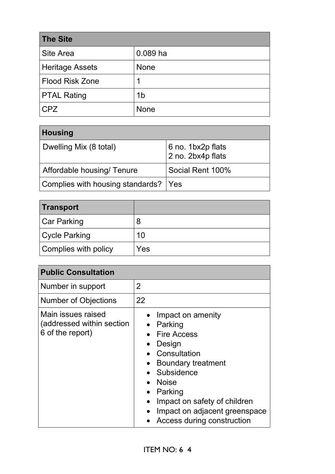| <b>The Site</b>    |                |
|--------------------|----------------|
| Site Area          | $0.089$ ha     |
| Heritage Assets    | <b>None</b>    |
| Flood Risk Zone    | 1              |
| <b>PTAL Rating</b> | 1 <sub>b</sub> |
| <b>CPZ</b>         | <b>None</b>    |

| Housing                              |                                                    |
|--------------------------------------|----------------------------------------------------|
| Dwelling Mix (8 total)               | 6 no. 1bx2p flats<br>$\frac{1}{2}$ no. 2bx4p flats |
| Affordable housing/ Tenure           | Social Rent 100%                                   |
| Complies with housing standards? Yes |                                                    |

| Transport            |     |
|----------------------|-----|
| <b>Car Parking</b>   | 8   |
| <b>Cycle Parking</b> | 10  |
| Complies with policy | Yes |

| <b>Public Consultation</b>                                          |                                                                                                                                                                                                                                                                                                 |
|---------------------------------------------------------------------|-------------------------------------------------------------------------------------------------------------------------------------------------------------------------------------------------------------------------------------------------------------------------------------------------|
| Number in support                                                   | 2                                                                                                                                                                                                                                                                                               |
| <b>Number of Objections</b>                                         | 22                                                                                                                                                                                                                                                                                              |
| Main issues raised<br>(addressed within section<br>6 of the report) | Impact on amenity<br>Parking<br>$\bullet$<br><b>Fire Access</b><br>Design<br>$\bullet$<br>Consultation<br><b>Boundary treatment</b><br>Subsidence<br><b>Noise</b><br>Parking<br>$\bullet$<br>Impact on safety of children<br>Impact on adjacent greenspace<br><b>Access during construction</b> |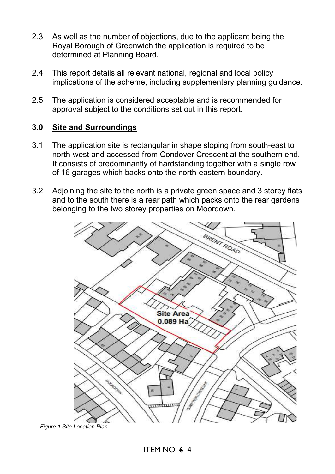- 2.3 As well as the number of objections, due to the applicant being the Royal Borough of Greenwich the application is required to be determined at Planning Board.
- 2.4 This report details all relevant national, regional and local policy implications of the scheme, including supplementary planning guidance.
- 2.5 The application is considered acceptable and is recommended for approval subject to the conditions set out in this report.

### **3.0 Site and Surroundings**

- 3.1 The application site is rectangular in shape sloping from south-east to north-west and accessed from Condover Crescent at the southern end. It consists of predominantly of hardstanding together with a single row of 16 garages which backs onto the north-eastern boundary.
- 3.2 Adjoining the site to the north is a private green space and 3 storey flats and to the south there is a rear path which packs onto the rear gardens belonging to the two storey properties on Moordown.



*Figure 1 Site Location Plan*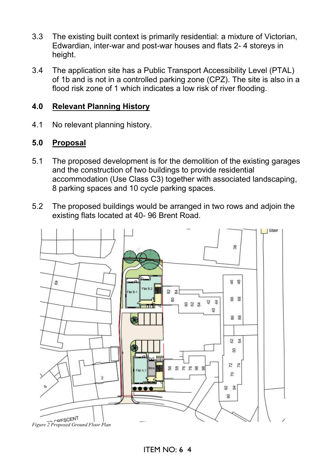- 3.3 The existing built context is primarily residential: a mixture of Victorian, Edwardian, inter-war and post-war houses and flats 2- 4 storeys in height.
- 3.4 The application site has a Public Transport Accessibility Level (PTAL) of 1b and is not in a controlled parking zone (CPZ). The site is also in a flood risk zone of 1 which indicates a low risk of river flooding.

### **4.0 Relevant Planning History**

4.1 No relevant planning history.

# **5.0 Proposal**

- 5.1 The proposed development is for the demolition of the existing garages and the construction of two buildings to provide residential accommodation (Use Class C3) together with associated landscaping, 8 parking spaces and 10 cycle parking spaces.
- 5.2 The proposed buildings would be arranged in two rows and adjoin the existing flats located at 40- 96 Brent Road.

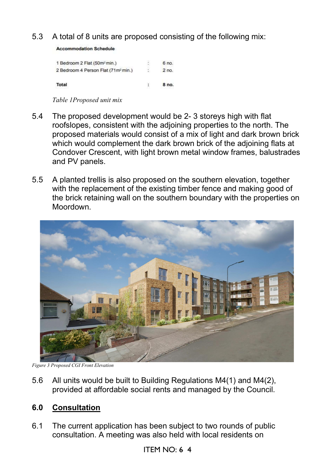5.3 A total of 8 units are proposed consisting of the following mix:

**Accommodation Schedule** 

| 1 Bedroom 2 Flat (50m <sup>2</sup> min.)        | 6 no.   |
|-------------------------------------------------|---------|
| 2 Bedroom 4 Person Flat (71m <sup>2</sup> min.) | $2$ no. |
| Total                                           | 8 no.   |

*Table 1Proposed unit mix* 

- 5.4 The proposed development would be 2- 3 storeys high with flat roofslopes, consistent with the adjoining properties to the north. The proposed materials would consist of a mix of light and dark brown brick which would complement the dark brown brick of the adjoining flats at Condover Crescent, with light brown metal window frames, balustrades and PV panels.
- 5.5 A planted trellis is also proposed on the southern elevation, together with the replacement of the existing timber fence and making good of the brick retaining wall on the southern boundary with the properties on Moordown.



*Figure 3 Proposed CGI Front Elevation* 

5.6 All units would be built to Building Regulations M4(1) and M4(2), provided at affordable social rents and managed by the Council.

# **6.0 Consultation**

6.1 The current application has been subject to two rounds of public consultation. A meeting was also held with local residents on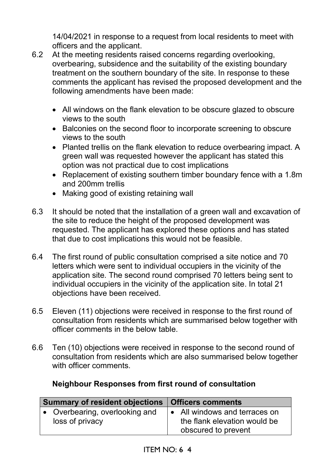14/04/2021 in response to a request from local residents to meet with officers and the applicant.

- 6.2 At the meeting residents raised concerns regarding overlooking, overbearing, subsidence and the suitability of the existing boundary treatment on the southern boundary of the site. In response to these comments the applicant has revised the proposed development and the following amendments have been made:
	- All windows on the flank elevation to be obscure glazed to obscure views to the south
	- Balconies on the second floor to incorporate screening to obscure views to the south
	- Planted trellis on the flank elevation to reduce overbearing impact. A green wall was requested however the applicant has stated this option was not practical due to cost implications
	- Replacement of existing southern timber boundary fence with a 1.8m and 200mm trellis
	- Making good of existing retaining wall
- 6.3 It should be noted that the installation of a green wall and excavation of the site to reduce the height of the proposed development was requested. The applicant has explored these options and has stated that due to cost implications this would not be feasible.
- 6.4 The first round of public consultation comprised a site notice and 70 letters which were sent to individual occupiers in the vicinity of the application site. The second round comprised 70 letters being sent to individual occupiers in the vicinity of the application site. In total 21 objections have been received.
- 6.5 Eleven (11) objections were received in response to the first round of consultation from residents which are summarised below together with officer comments in the below table.
- 6.6 Ten (10) objections were received in response to the second round of consultation from residents which are also summarised below together with officer comments.

# **Neighbour Responses from first round of consultation**

| Summary of resident objections   Officers comments |                                                                                              |
|----------------------------------------------------|----------------------------------------------------------------------------------------------|
| • Overbearing, overlooking and<br>loss of privacy  | $\bullet$ All windows and terraces on<br>the flank elevation would be<br>obscured to prevent |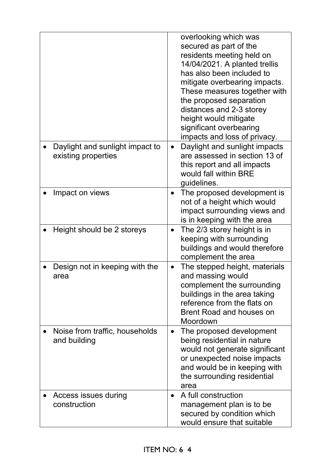|                                                        | overlooking which was<br>secured as part of the<br>residents meeting held on<br>14/04/2021. A planted trellis<br>has also been included to<br>mitigate overbearing impacts.<br>These measures together with<br>the proposed separation<br>distances and 2-3 storey<br>height would mitigate<br>significant overbearing<br>impacts and loss of privacy. |
|--------------------------------------------------------|--------------------------------------------------------------------------------------------------------------------------------------------------------------------------------------------------------------------------------------------------------------------------------------------------------------------------------------------------------|
| Daylight and sunlight impact to<br>existing properties | Daylight and sunlight impacts<br>$\bullet$<br>are assessed in section 13 of<br>this report and all impacts<br>would fall within BRE<br>guidelines.                                                                                                                                                                                                     |
| Impact on views                                        | The proposed development is<br>$\bullet$<br>not of a height which would<br>impact surrounding views and<br>is in keeping with the area                                                                                                                                                                                                                 |
| Height should be 2 storeys                             | The 2/3 storey height is in<br>$\bullet$<br>keeping with surrounding<br>buildings and would therefore<br>complement the area                                                                                                                                                                                                                           |
| Design not in keeping with the<br>area                 | The stepped height, materials<br>$\bullet$<br>and massing would<br>complement the surrounding<br>buildings in the area taking<br>reference from the flats on<br>Brent Road and houses on<br>Moordown                                                                                                                                                   |
| Noise from traffic, households<br>and building         | The proposed development<br>$\bullet$<br>being residential in nature<br>would not generate significant<br>or unexpected noise impacts<br>and would be in keeping with<br>the surrounding residential<br>area                                                                                                                                           |
| Access issues during<br>construction                   | A full construction<br>$\bullet$<br>management plan is to be<br>secured by condition which<br>would ensure that suitable                                                                                                                                                                                                                               |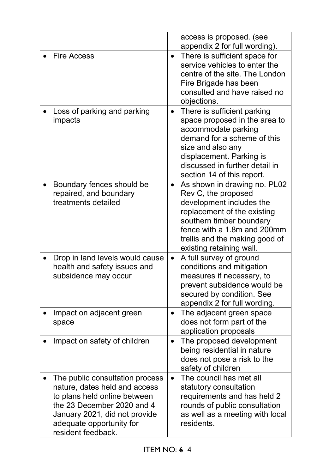|                                                                                                                                                                                                                   | access is proposed. (see<br>appendix 2 for full wording).                                                                                                                                                                                            |
|-------------------------------------------------------------------------------------------------------------------------------------------------------------------------------------------------------------------|------------------------------------------------------------------------------------------------------------------------------------------------------------------------------------------------------------------------------------------------------|
| <b>Fire Access</b>                                                                                                                                                                                                | There is sufficient space for<br>$\bullet$<br>service vehicles to enter the<br>centre of the site. The London<br>Fire Brigade has been<br>consulted and have raised no<br>objections.                                                                |
| Loss of parking and parking<br>impacts                                                                                                                                                                            | There is sufficient parking<br>$\bullet$<br>space proposed in the area to<br>accommodate parking<br>demand for a scheme of this<br>size and also any<br>displacement. Parking is<br>discussed in further detail in<br>section 14 of this report.     |
| Boundary fences should be<br>repaired, and boundary<br>treatments detailed                                                                                                                                        | As shown in drawing no. PL02<br>$\bullet$<br>Rev C, the proposed<br>development includes the<br>replacement of the existing<br>southern timber boundary<br>fence with a 1.8m and 200mm<br>trellis and the making good of<br>existing retaining wall. |
| Drop in land levels would cause<br>health and safety issues and<br>subsidence may occur                                                                                                                           | A full survey of ground<br>$\bullet$<br>conditions and mitigation<br>measures if necessary, to<br>prevent subsidence would be<br>secured by condition. See<br>appendix 2 for full wording.                                                           |
| Impact on adjacent green<br>space                                                                                                                                                                                 | The adjacent green space<br>$\bullet$<br>does not form part of the<br>application proposals                                                                                                                                                          |
| Impact on safety of children                                                                                                                                                                                      | The proposed development<br>$\bullet$<br>being residential in nature<br>does not pose a risk to the<br>safety of children                                                                                                                            |
| The public consultation process<br>nature, dates held and access<br>to plans held online between<br>the 23 December 2020 and 4<br>January 2021, did not provide<br>adequate opportunity for<br>resident feedback. | The council has met all<br>$\bullet$<br>statutory consultation<br>requirements and has held 2<br>rounds of public consultation<br>as well as a meeting with local<br>residents.                                                                      |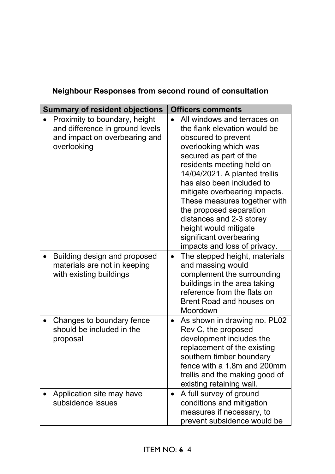| <b>Summary of resident objections</b>                                                                            | <b>Officers comments</b>                                                                                                                                                                                                                                                                                                                                                                                                                     |
|------------------------------------------------------------------------------------------------------------------|----------------------------------------------------------------------------------------------------------------------------------------------------------------------------------------------------------------------------------------------------------------------------------------------------------------------------------------------------------------------------------------------------------------------------------------------|
| Proximity to boundary, height<br>and difference in ground levels<br>and impact on overbearing and<br>overlooking | All windows and terraces on<br>the flank elevation would be<br>obscured to prevent<br>overlooking which was<br>secured as part of the<br>residents meeting held on<br>14/04/2021. A planted trellis<br>has also been included to<br>mitigate overbearing impacts.<br>These measures together with<br>the proposed separation<br>distances and 2-3 storey<br>height would mitigate<br>significant overbearing<br>impacts and loss of privacy. |
| Building design and proposed<br>materials are not in keeping<br>with existing buildings                          | The stepped height, materials<br>$\bullet$<br>and massing would<br>complement the surrounding<br>buildings in the area taking<br>reference from the flats on<br><b>Brent Road and houses on</b><br>Moordown                                                                                                                                                                                                                                  |
| Changes to boundary fence<br>should be included in the<br>proposal                                               | As shown in drawing no. PL02<br>$\bullet$<br>Rev C, the proposed<br>development includes the<br>replacement of the existing<br>southern timber boundary<br>fence with a 1.8m and 200mm<br>trellis and the making good of<br>existing retaining wall.                                                                                                                                                                                         |
| Application site may have<br>subsidence issues                                                                   | A full survey of ground<br>$\bullet$<br>conditions and mitigation<br>measures if necessary, to<br>prevent subsidence would be                                                                                                                                                                                                                                                                                                                |

# **Neighbour Responses from second round of consultation**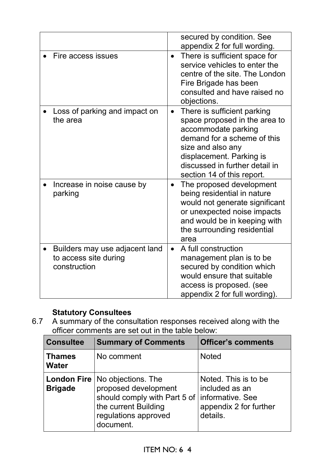|                                                                         | secured by condition. See<br>appendix 2 for full wording.                                                                                                                                                                                        |
|-------------------------------------------------------------------------|--------------------------------------------------------------------------------------------------------------------------------------------------------------------------------------------------------------------------------------------------|
| Fire access issues                                                      | There is sufficient space for<br>$\bullet$<br>service vehicles to enter the<br>centre of the site. The London<br>Fire Brigade has been<br>consulted and have raised no<br>objections.                                                            |
| Loss of parking and impact on<br>the area                               | There is sufficient parking<br>$\bullet$<br>space proposed in the area to<br>accommodate parking<br>demand for a scheme of this<br>size and also any<br>displacement. Parking is<br>discussed in further detail in<br>section 14 of this report. |
| Increase in noise cause by<br>parking                                   | The proposed development<br>$\bullet$<br>being residential in nature<br>would not generate significant<br>or unexpected noise impacts<br>and would be in keeping with<br>the surrounding residential<br>area                                     |
| Builders may use adjacent land<br>to access site during<br>construction | A full construction<br>$\bullet$<br>management plan is to be<br>secured by condition which<br>would ensure that suitable<br>access is proposed. (see<br>appendix 2 for full wording).                                                            |

# **Statutory Consultees**

6.7 A summary of the consultation responses received along with the officer comments are set out in the table below:

| <b>Consultee</b>              | <b>Summary of Comments</b>                                                                                                                                   | <b>Officer's comments</b>                                                                        |
|-------------------------------|--------------------------------------------------------------------------------------------------------------------------------------------------------------|--------------------------------------------------------------------------------------------------|
| <b>Thames</b><br><b>Water</b> | No comment                                                                                                                                                   | <b>Noted</b>                                                                                     |
| <b>Brigade</b>                | <b>London Fire   No objections. The</b><br>proposed development<br>should comply with Part 5 of<br>the current Building<br>regulations approved<br>document. | Noted. This is to be<br>included as an<br>Informative. See<br>appendix 2 for further<br>details. |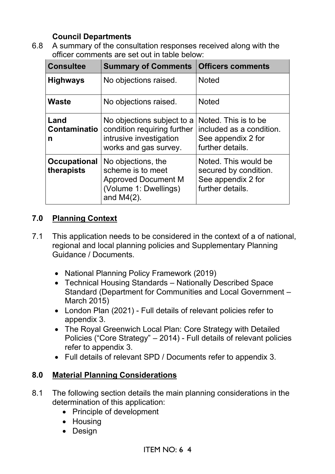# **Council Departments**

6.8 A summary of the consultation responses received along with the officer comments are set out in table below:

| <b>Consultee</b>                  | <b>Summary of Comments</b>                                                                                      | <b>Officers comments</b>                                                                   |
|-----------------------------------|-----------------------------------------------------------------------------------------------------------------|--------------------------------------------------------------------------------------------|
| <b>Highways</b>                   | No objections raised.                                                                                           | <b>Noted</b>                                                                               |
| <b>Waste</b>                      | No objections raised.                                                                                           | <b>Noted</b>                                                                               |
| Land<br><b>Contaminatio</b><br>n  | No objections subject to a<br>condition requiring further<br>intrusive investigation<br>works and gas survey.   | Noted. This is to be<br>included as a condition.<br>See appendix 2 for<br>further details. |
| <b>Occupational</b><br>therapists | No objections, the<br>scheme is to meet<br><b>Approved Document M</b><br>(Volume 1: Dwellings)<br>and $M4(2)$ . | Noted. This would be<br>secured by condition.<br>See appendix 2 for<br>further details.    |

# **7.0 Planning Context**

- 7.1 This application needs to be considered in the context of a of national, regional and local planning policies and Supplementary Planning Guidance / Documents.
	- National Planning Policy Framework (2019)
	- Technical Housing Standards Nationally Described Space Standard (Department for Communities and Local Government – March 2015)
	- London Plan (2021) Full details of relevant policies refer to appendix 3.
	- The Royal Greenwich Local Plan: Core Strategy with Detailed Policies ("Core Strategy" – 2014) - Full details of relevant policies refer to appendix 3.
	- Full details of relevant SPD / Documents refer to appendix 3.

# **8.0 Material Planning Considerations**

- 8.1 The following section details the main planning considerations in the determination of this application:
	- Principle of development
	- Housing
	- Design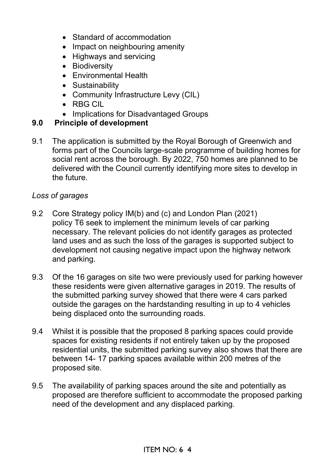- Standard of accommodation
- Impact on neighbouring amenity
- Highways and servicing
- Biodiversity
- Environmental Health
- Sustainability
- Community Infrastructure Levy (CIL)
- RBG CIL
- Implications for Disadvantaged Groups

### **9.0 Principle of development**

9.1 The application is submitted by the Royal Borough of Greenwich and forms part of the Councils large-scale programme of building homes for social rent across the borough. By 2022, 750 homes are planned to be delivered with the Council currently identifying more sites to develop in the future.

### *Loss of garages*

- 9.2 Core Strategy policy IM(b) and (c) and London Plan (2021) policy T6 seek to implement the minimum levels of car parking necessary. The relevant policies do not identify garages as protected land uses and as such the loss of the garages is supported subject to development not causing negative impact upon the highway network and parking.
- 9.3 Of the 16 garages on site two were previously used for parking however these residents were given alternative garages in 2019. The results of the submitted parking survey showed that there were 4 cars parked outside the garages on the hardstanding resulting in up to 4 vehicles being displaced onto the surrounding roads.
- 9.4 Whilst it is possible that the proposed 8 parking spaces could provide spaces for existing residents if not entirely taken up by the proposed residential units, the submitted parking survey also shows that there are between 14- 17 parking spaces available within 200 metres of the proposed site.
- 9.5 The availability of parking spaces around the site and potentially as proposed are therefore sufficient to accommodate the proposed parking need of the development and any displaced parking.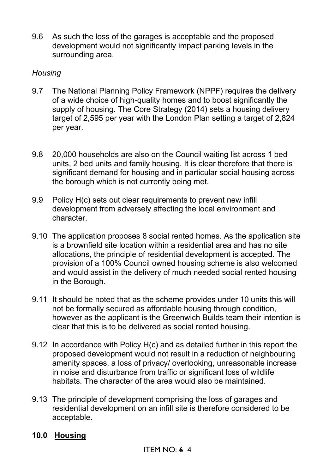9.6 As such the loss of the garages is acceptable and the proposed development would not significantly impact parking levels in the surrounding area.

### *Housing*

- 9.7 The National Planning Policy Framework (NPPF) requires the delivery of a wide choice of high-quality homes and to boost significantly the supply of housing. The Core Strategy (2014) sets a housing delivery target of 2,595 per year with the London Plan setting a target of 2,824 per year.
- 9.8 20,000 households are also on the Council waiting list across 1 bed units, 2 bed units and family housing. It is clear therefore that there is significant demand for housing and in particular social housing across the borough which is not currently being met.
- 9.9 Policy H(c) sets out clear requirements to prevent new infill development from adversely affecting the local environment and character.
- 9.10 The application proposes 8 social rented homes. As the application site is a brownfield site location within a residential area and has no site allocations, the principle of residential development is accepted. The provision of a 100% Council owned housing scheme is also welcomed and would assist in the delivery of much needed social rented housing in the Borough.
- 9.11 It should be noted that as the scheme provides under 10 units this will not be formally secured as affordable housing through condition, however as the applicant is the Greenwich Builds team their intention is clear that this is to be delivered as social rented housing.
- 9.12 In accordance with Policy H(c) and as detailed further in this report the proposed development would not result in a reduction of neighbouring amenity spaces, a loss of privacy/ overlooking, unreasonable increase in noise and disturbance from traffic or significant loss of wildlife habitats. The character of the area would also be maintained.
- 9.13 The principle of development comprising the loss of garages and residential development on an infill site is therefore considered to be acceptable.

# **10.0 Housing**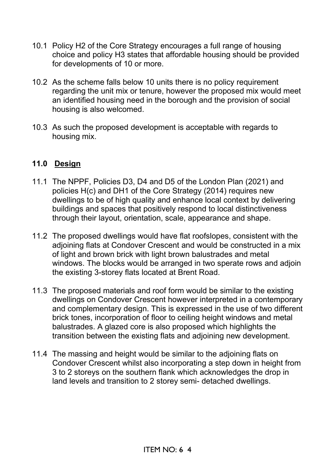- 10.1 Policy H2 of the Core Strategy encourages a full range of housing choice and policy H3 states that affordable housing should be provided for developments of 10 or more.
- 10.2 As the scheme falls below 10 units there is no policy requirement regarding the unit mix or tenure, however the proposed mix would meet an identified housing need in the borough and the provision of social housing is also welcomed.
- 10.3 As such the proposed development is acceptable with regards to housing mix.

### **11.0 Design**

- 11.1 The NPPF, Policies D3, D4 and D5 of the London Plan (2021) and policies H(c) and DH1 of the Core Strategy (2014) requires new dwellings to be of high quality and enhance local context by delivering buildings and spaces that positively respond to local distinctiveness through their layout, orientation, scale, appearance and shape.
- 11.2 The proposed dwellings would have flat roofslopes, consistent with the adjoining flats at Condover Crescent and would be constructed in a mix of light and brown brick with light brown balustrades and metal windows. The blocks would be arranged in two sperate rows and adjoin the existing 3-storey flats located at Brent Road.
- 11.3 The proposed materials and roof form would be similar to the existing dwellings on Condover Crescent however interpreted in a contemporary and complementary design. This is expressed in the use of two different brick tones, incorporation of floor to ceiling height windows and metal balustrades. A glazed core is also proposed which highlights the transition between the existing flats and adjoining new development.
- 11.4 The massing and height would be similar to the adjoining flats on Condover Crescent whilst also incorporating a step down in height from 3 to 2 storeys on the southern flank which acknowledges the drop in land levels and transition to 2 storey semi- detached dwellings.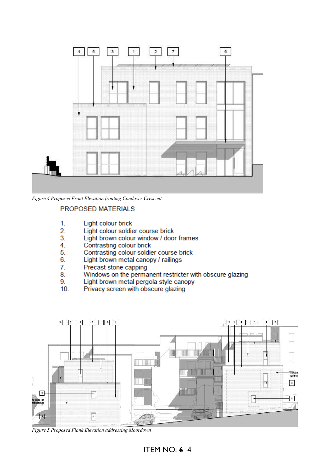

*Figure 4 Proposed Front Elevation fronting Condover Crescent*

#### **PROPOSED MATERIALS**

- $1.$ Light colour brick
- $2.$ Light colour soldier course brick
- $\overline{3}$ . Light brown colour window / door frames
- 4. Contrasting colour brick
- 5. Contrasting colour soldier course brick
- 6. Light brown metal canopy / railings
- Precast stone capping 7.
- 8. Windows on the permanent restricter with obscure glazing
- 9. Light brown metal pergola style canopy
- $10.$ Privacy screen with obscure glazing



*Figure 5 Proposed Flank Elevation addressing Moordown*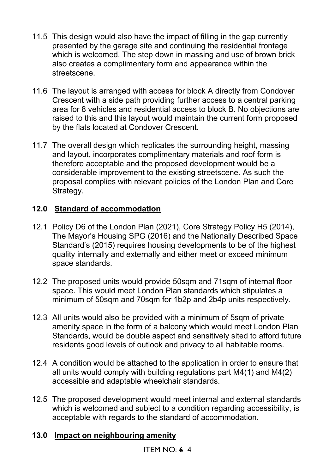- 11.5 This design would also have the impact of filling in the gap currently presented by the garage site and continuing the residential frontage which is welcomed. The step down in massing and use of brown brick also creates a complimentary form and appearance within the streetscene.
- 11.6 The layout is arranged with access for block A directly from Condover Crescent with a side path providing further access to a central parking area for 8 vehicles and residential access to block B. No objections are raised to this and this layout would maintain the current form proposed by the flats located at Condover Crescent.
- 11.7 The overall design which replicates the surrounding height, massing and layout, incorporates complimentary materials and roof form is therefore acceptable and the proposed development would be a considerable improvement to the existing streetscene. As such the proposal complies with relevant policies of the London Plan and Core Strategy.

# **12.0 Standard of accommodation**

- 12.1 Policy D6 of the London Plan (2021), Core Strategy Policy H5 (2014), The Mayor's Housing SPG (2016) and the Nationally Described Space Standard's (2015) requires housing developments to be of the highest quality internally and externally and either meet or exceed minimum space standards.
- 12.2 The proposed units would provide 50sqm and 71sqm of internal floor space. This would meet London Plan standards which stipulates a minimum of 50sqm and 70sqm for 1b2p and 2b4p units respectively.
- 12.3 All units would also be provided with a minimum of 5sqm of private amenity space in the form of a balcony which would meet London Plan Standards, would be double aspect and sensitively sited to afford future residents good levels of outlook and privacy to all habitable rooms.
- 12.4 A condition would be attached to the application in order to ensure that all units would comply with building regulations part M4(1) and M4(2) accessible and adaptable wheelchair standards.
- 12.5 The proposed development would meet internal and external standards which is welcomed and subject to a condition regarding accessibility, is acceptable with regards to the standard of accommodation.

# **13.0 Impact on neighbouring amenity**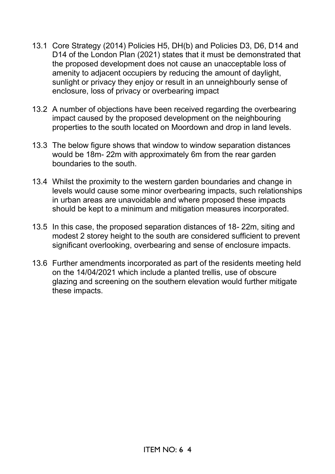- 13.1 Core Strategy (2014) Policies H5, DH(b) and Policies D3, D6, D14 and D14 of the London Plan (2021) states that it must be demonstrated that the proposed development does not cause an unacceptable loss of amenity to adjacent occupiers by reducing the amount of daylight, sunlight or privacy they enjoy or result in an unneighbourly sense of enclosure, loss of privacy or overbearing impact
- 13.2 A number of objections have been received regarding the overbearing impact caused by the proposed development on the neighbouring properties to the south located on Moordown and drop in land levels.
- 13.3 The below figure shows that window to window separation distances would be 18m- 22m with approximately 6m from the rear garden boundaries to the south.
- 13.4 Whilst the proximity to the western garden boundaries and change in levels would cause some minor overbearing impacts, such relationships in urban areas are unavoidable and where proposed these impacts should be kept to a minimum and mitigation measures incorporated.
- 13.5 In this case, the proposed separation distances of 18- 22m, siting and modest 2 storey height to the south are considered sufficient to prevent significant overlooking, overbearing and sense of enclosure impacts.
- 13.6 Further amendments incorporated as part of the residents meeting held on the 14/04/2021 which include a planted trellis, use of obscure glazing and screening on the southern elevation would further mitigate these impacts.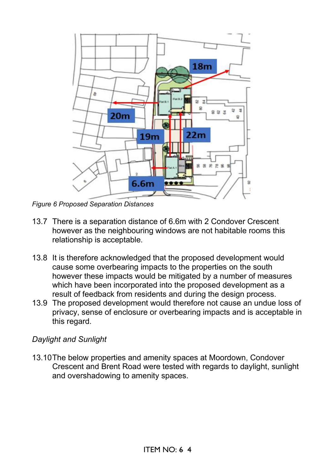

*Figure 6 Proposed Separation Distances* 

- 13.7 There is a separation distance of 6.6m with 2 Condover Crescent however as the neighbouring windows are not habitable rooms this relationship is acceptable.
- 13.8 It is therefore acknowledged that the proposed development would cause some overbearing impacts to the properties on the south however these impacts would be mitigated by a number of measures which have been incorporated into the proposed development as a result of feedback from residents and during the design process.
- 13.9 The proposed development would therefore not cause an undue loss of privacy, sense of enclosure or overbearing impacts and is acceptable in this regard.

# *Daylight and Sunlight*

13.10 The below properties and amenity spaces at Moordown, Condover Crescent and Brent Road were tested with regards to daylight, sunlight and overshadowing to amenity spaces.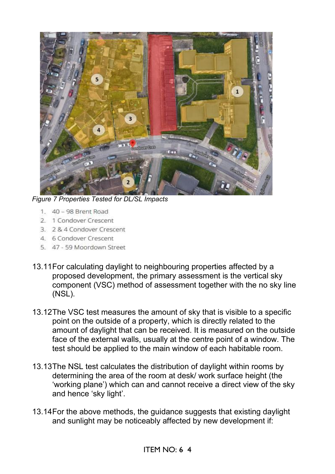

*Figure 7 Properties Tested for DL/SL Impacts* 

- 1. 40 98 Brent Road
- 2. 1 Condover Crescent
- 3. 2 & 4 Condover Crescent
- 4. 6 Condover Crescent
- 5. 47 59 Moordown Street
- 13.11 For calculating daylight to neighbouring properties affected by a proposed development, the primary assessment is the vertical sky component (VSC) method of assessment together with the no sky line (NSL).
- 13.12 The VSC test measures the amount of sky that is visible to a specific point on the outside of a property, which is directly related to the amount of daylight that can be received. It is measured on the outside face of the external walls, usually at the centre point of a window. The test should be applied to the main window of each habitable room.
- 13.13 The NSL test calculates the distribution of daylight within rooms by determining the area of the room at desk/ work surface height (the 'working plane') which can and cannot receive a direct view of the sky and hence 'sky light'.
- 13.14 For the above methods, the guidance suggests that existing daylight and sunlight may be noticeably affected by new development if: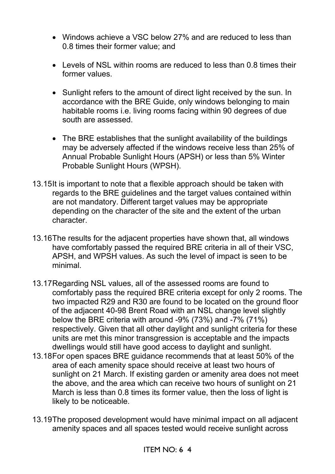- Windows achieve a VSC below 27% and are reduced to less than 0.8 times their former value; and
- Levels of NSL within rooms are reduced to less than 0.8 times their former values.
- Sunlight refers to the amount of direct light received by the sun. In accordance with the BRE Guide, only windows belonging to main habitable rooms i.e. living rooms facing within 90 degrees of due south are assessed.
- The BRE establishes that the sunlight availability of the buildings may be adversely affected if the windows receive less than 25% of Annual Probable Sunlight Hours (APSH) or less than 5% Winter Probable Sunlight Hours (WPSH).
- 13.15 It is important to note that a flexible approach should be taken with regards to the BRE guidelines and the target values contained within are not mandatory. Different target values may be appropriate depending on the character of the site and the extent of the urban character.
- 13.16 The results for the adjacent properties have shown that, all windows have comfortably passed the required BRE criteria in all of their VSC, APSH, and WPSH values. As such the level of impact is seen to be minimal.
- 13.17 Regarding NSL values, all of the assessed rooms are found to comfortably pass the required BRE criteria except for only 2 rooms. The two impacted R29 and R30 are found to be located on the ground floor of the adjacent 40-98 Brent Road with an NSL change level slightly below the BRE criteria with around -9% (73%) and -7% (71%) respectively. Given that all other daylight and sunlight criteria for these units are met this minor transgression is acceptable and the impacts dwellings would still have good access to daylight and sunlight.
- 13.18 For open spaces BRE guidance recommends that at least 50% of the area of each amenity space should receive at least two hours of sunlight on 21 March. If existing garden or amenity area does not meet the above, and the area which can receive two hours of sunlight on 21 March is less than 0.8 times its former value, then the loss of light is likely to be noticeable.
- 13.19 The proposed development would have minimal impact on all adjacent amenity spaces and all spaces tested would receive sunlight across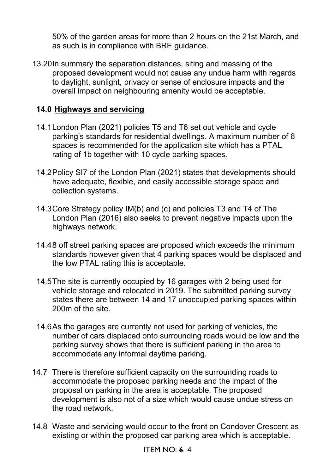50% of the garden areas for more than 2 hours on the 21st March, and as such is in compliance with BRE guidance.

13.20 In summary the separation distances, siting and massing of the proposed development would not cause any undue harm with regards to daylight, sunlight, privacy or sense of enclosure impacts and the overall impact on neighbouring amenity would be acceptable.

### **14.0 Highways and servicing**

- 14.1 London Plan (2021) policies T5 and T6 set out vehicle and cycle parking's standards for residential dwellings. A maximum number of 6 spaces is recommended for the application site which has a PTAL rating of 1b together with 10 cycle parking spaces.
- 14.2 Policy SI7 of the London Plan (2021) states that developments should have adequate, flexible, and easily accessible storage space and collection systems.
- 14.3 Core Strategy policy IM(b) and (c) and policies T3 and T4 of The London Plan (2016) also seeks to prevent negative impacts upon the highways network.
- 14.4 8 off street parking spaces are proposed which exceeds the minimum standards however given that 4 parking spaces would be displaced and the low PTAL rating this is acceptable.
- 14.5 The site is currently occupied by 16 garages with 2 being used for vehicle storage and relocated in 2019. The submitted parking survey states there are between 14 and 17 unoccupied parking spaces within 200m of the site.
- 14.6 As the garages are currently not used for parking of vehicles, the number of cars displaced onto surrounding roads would be low and the parking survey shows that there is sufficient parking in the area to accommodate any informal daytime parking.
- 14.7 There is therefore sufficient capacity on the surrounding roads to accommodate the proposed parking needs and the impact of the proposal on parking in the area is acceptable. The proposed development is also not of a size which would cause undue stress on the road network.
- 14.8 Waste and servicing would occur to the front on Condover Crescent as existing or within the proposed car parking area which is acceptable.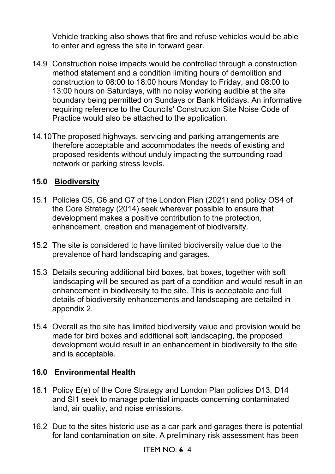Vehicle tracking also shows that fire and refuse vehicles would be able to enter and egress the site in forward gear.

- 14.9 Construction noise impacts would be controlled through a construction method statement and a condition limiting hours of demolition and construction to 08:00 to 18:00 hours Monday to Friday, and 08:00 to 13:00 hours on Saturdays, with no noisy working audible at the site boundary being permitted on Sundays or Bank Holidays. An informative requiring reference to the Councils' Construction Site Noise Code of Practice would also be attached to the application.
- 14.10 The proposed highways, servicing and parking arrangements are therefore acceptable and accommodates the needs of existing and proposed residents without unduly impacting the surrounding road network or parking stress levels.

# **15.0 Biodiversity**

- 15.1 Policies G5, G6 and G7 of the London Plan (2021) and policy OS4 of the Core Strategy (2014) seek wherever possible to ensure that development makes a positive contribution to the protection, enhancement, creation and management of biodiversity.
- 15.2 The site is considered to have limited biodiversity value due to the prevalence of hard landscaping and garages.
- 15.3 Details securing additional bird boxes, bat boxes, together with soft landscaping will be secured as part of a condition and would result in an enhancement in biodiversity to the site. This is acceptable and full details of biodiversity enhancements and landscaping are detailed in appendix 2.
- 15.4 Overall as the site has limited biodiversity value and provision would be made for bird boxes and additional soft landscaping, the proposed development would result in an enhancement in biodiversity to the site and is acceptable.

# **16.0 Environmental Health**

- 16.1 Policy E(e) of the Core Strategy and London Plan policies D13, D14 and SI1 seek to manage potential impacts concerning contaminated land, air quality, and noise emissions.
- 16.2 Due to the sites historic use as a car park and garages there is potential for land contamination on site. A preliminary risk assessment has been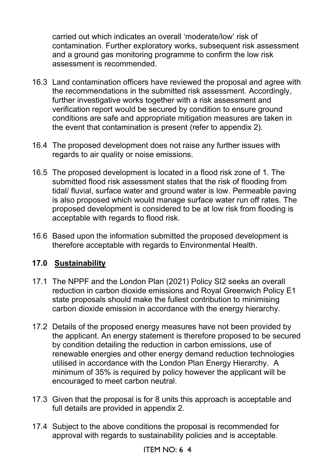carried out which indicates an overall 'moderate/low' risk of contamination. Further exploratory works, subsequent risk assessment and a ground gas monitoring programme to confirm the low risk assessment is recommended.

- 16.3 Land contamination officers have reviewed the proposal and agree with the recommendations in the submitted risk assessment. Accordingly, further investigative works together with a risk assessment and verification report would be secured by condition to ensure ground conditions are safe and appropriate mitigation measures are taken in the event that contamination is present (refer to appendix 2).
- 16.4 The proposed development does not raise any further issues with regards to air quality or noise emissions.
- 16.5 The proposed development is located in a flood risk zone of 1. The submitted flood risk assessment states that the risk of flooding from tidal/ fluvial, surface water and ground water is low. Permeable paving is also proposed which would manage surface water run off rates. The proposed development is considered to be at low risk from flooding is acceptable with regards to flood risk.
- 16.6 Based upon the information submitted the proposed development is therefore acceptable with regards to Environmental Health.

# **17.0 Sustainability**

- 17.1 The NPPF and the London Plan (2021) Policy SI2 seeks an overall reduction in carbon dioxide emissions and Royal Greenwich Policy E1 state proposals should make the fullest contribution to minimising carbon dioxide emission in accordance with the energy hierarchy.
- 17.2 Details of the proposed energy measures have not been provided by the applicant. An energy statement is therefore proposed to be secured by condition detailing the reduction in carbon emissions, use of renewable energies and other energy demand reduction technologies utilised in accordance with the London Plan Energy Hierarchy. A minimum of 35% is required by policy however the applicant will be encouraged to meet carbon neutral.
- 17.3 Given that the proposal is for 8 units this approach is acceptable and full details are provided in appendix 2.
- 17.4 Subject to the above conditions the proposal is recommended for approval with regards to sustainability policies and is acceptable.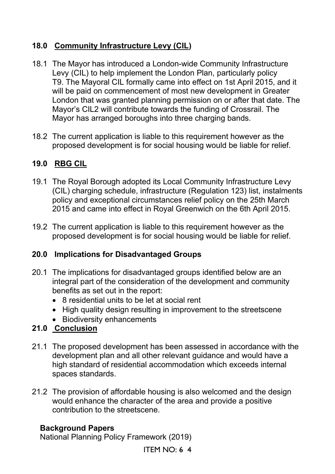# **18.0 Community Infrastructure Levy (CIL)**

- 18.1 The Mayor has introduced a London-wide Community Infrastructure Levy (CIL) to help implement the London Plan, particularly policy T9. The Mayoral CIL formally came into effect on 1st April 2015, and it will be paid on commencement of most new development in Greater London that was granted planning permission on or after that date. The Mayor's CIL2 will contribute towards the funding of Crossrail. The Mayor has arranged boroughs into three charging bands.
- 18.2 The current application is liable to this requirement however as the proposed development is for social housing would be liable for relief.

# **19.0 RBG CIL**

- 19.1 The Royal Borough adopted its Local Community Infrastructure Levy (CIL) charging schedule, infrastructure (Regulation 123) list, instalments policy and exceptional circumstances relief policy on the 25th March 2015 and came into effect in Royal Greenwich on the 6th April 2015.
- 19.2 The current application is liable to this requirement however as the proposed development is for social housing would be liable for relief.

# **20.0 Implications for Disadvantaged Groups**

- 20.1 The implications for disadvantaged groups identified below are an integral part of the consideration of the development and community benefits as set out in the report:
	- 8 residential units to be let at social rent
	- High quality design resulting in improvement to the streetscene
	- Biodiversity enhancements

# **21.0 Conclusion**

- 21.1 The proposed development has been assessed in accordance with the development plan and all other relevant guidance and would have a high standard of residential accommodation which exceeds internal spaces standards.
- 21.2 The provision of affordable housing is also welcomed and the design would enhance the character of the area and provide a positive contribution to the streetscene.

### **Background Papers**

National Planning Policy Framework (2019)

ITEM NO: 6 4